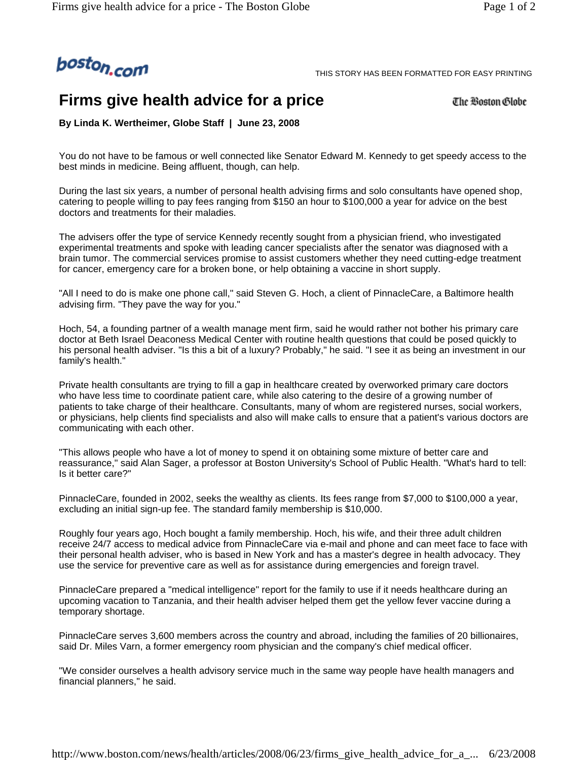

THIS STORY HAS BEEN FORMATTED FOR EASY PRINTING

## **Firms give health advice for a price**

The Boston Globe

**By Linda K. Wertheimer, Globe Staff | June 23, 2008** 

You do not have to be famous or well connected like Senator Edward M. Kennedy to get speedy access to the best minds in medicine. Being affluent, though, can help.

During the last six years, a number of personal health advising firms and solo consultants have opened shop, catering to people willing to pay fees ranging from \$150 an hour to \$100,000 a year for advice on the best doctors and treatments for their maladies.

The advisers offer the type of service Kennedy recently sought from a physician friend, who investigated experimental treatments and spoke with leading cancer specialists after the senator was diagnosed with a brain tumor. The commercial services promise to assist customers whether they need cutting-edge treatment for cancer, emergency care for a broken bone, or help obtaining a vaccine in short supply.

"All I need to do is make one phone call," said Steven G. Hoch, a client of PinnacleCare, a Baltimore health advising firm. "They pave the way for you."

Hoch, 54, a founding partner of a wealth manage ment firm, said he would rather not bother his primary care doctor at Beth Israel Deaconess Medical Center with routine health questions that could be posed quickly to his personal health adviser. "Is this a bit of a luxury? Probably," he said. "I see it as being an investment in our family's health."

Private health consultants are trying to fill a gap in healthcare created by overworked primary care doctors who have less time to coordinate patient care, while also catering to the desire of a growing number of patients to take charge of their healthcare. Consultants, many of whom are registered nurses, social workers, or physicians, help clients find specialists and also will make calls to ensure that a patient's various doctors are communicating with each other.

"This allows people who have a lot of money to spend it on obtaining some mixture of better care and reassurance," said Alan Sager, a professor at Boston University's School of Public Health. "What's hard to tell: Is it better care?"

PinnacleCare, founded in 2002, seeks the wealthy as clients. Its fees range from \$7,000 to \$100,000 a year, excluding an initial sign-up fee. The standard family membership is \$10,000.

Roughly four years ago, Hoch bought a family membership. Hoch, his wife, and their three adult children receive 24/7 access to medical advice from PinnacleCare via e-mail and phone and can meet face to face with their personal health adviser, who is based in New York and has a master's degree in health advocacy. They use the service for preventive care as well as for assistance during emergencies and foreign travel.

PinnacleCare prepared a "medical intelligence" report for the family to use if it needs healthcare during an upcoming vacation to Tanzania, and their health adviser helped them get the yellow fever vaccine during a temporary shortage.

PinnacleCare serves 3,600 members across the country and abroad, including the families of 20 billionaires, said Dr. Miles Varn, a former emergency room physician and the company's chief medical officer.

"We consider ourselves a health advisory service much in the same way people have health managers and financial planners," he said.